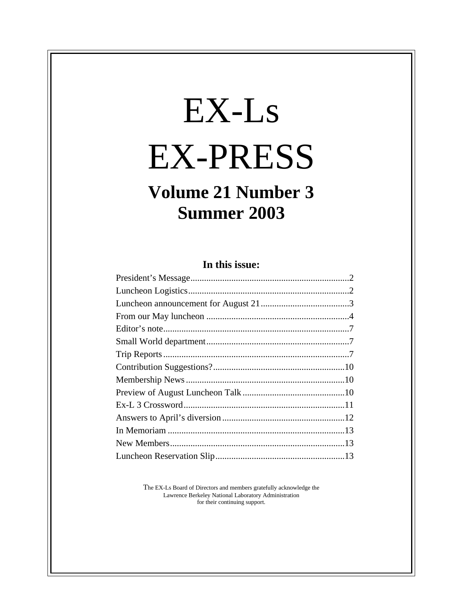# EX-Ls EX-PRESS

# **Volume 21 Number 3 Summer 2003**

# **In this issue:**

The EX-Ls Board of Directors and members gratefully acknowledge the Lawrence Berkeley National Laboratory Administration for their continuing support.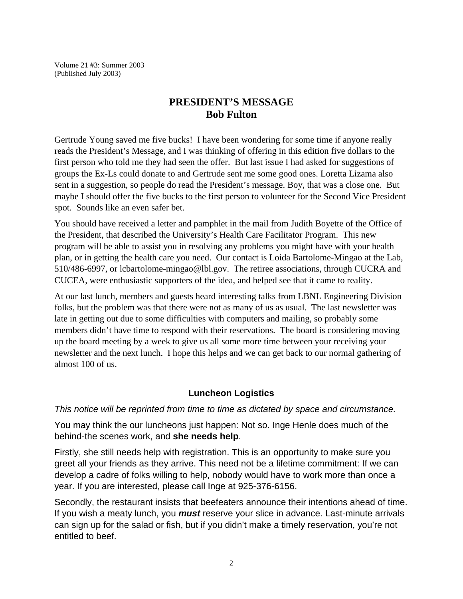Volume 21 #3: Summer 2003 (Published July 2003)

# **PRESIDENT'S MESSAGE Bob Fulton**

Gertrude Young saved me five bucks! I have been wondering for some time if anyone really reads the President's Message, and I was thinking of offering in this edition five dollars to the first person who told me they had seen the offer. But last issue I had asked for suggestions of groups the Ex-Ls could donate to and Gertrude sent me some good ones. Loretta Lizama also sent in a suggestion, so people do read the President's message. Boy, that was a close one. But maybe I should offer the five bucks to the first person to volunteer for the Second Vice President spot. Sounds like an even safer bet.

You should have received a letter and pamphlet in the mail from Judith Boyette of the Office of the President, that described the University's Health Care Facilitator Program. This new program will be able to assist you in resolving any problems you might have with your health plan, or in getting the health care you need. Our contact is Loida Bartolome-Mingao at the Lab, 510/486-6997, or lcbartolome-mingao@lbl.gov. The retiree associations, through CUCRA and CUCEA, were enthusiastic supporters of the idea, and helped see that it came to reality.

At our last lunch, members and guests heard interesting talks from LBNL Engineering Division folks, but the problem was that there were not as many of us as usual. The last newsletter was late in getting out due to some difficulties with computers and mailing, so probably some members didn't have time to respond with their reservations. The board is considering moving up the board meeting by a week to give us all some more time between your receiving your newsletter and the next lunch. I hope this helps and we can get back to our normal gathering of almost 100 of us.

# **Luncheon Logistics**

*This notice will be reprinted from time to time as dictated by space and circumstance.*

You may think the our luncheons just happen: Not so. Inge Henle does much of the behind-the scenes work, and **she needs help**.

Firstly, she still needs help with registration. This is an opportunity to make sure you greet all your friends as they arrive. This need not be a lifetime commitment: If we can develop a cadre of folks willing to help, nobody would have to work more than once a year. If you are interested, please call Inge at 925-376-6156.

Secondly, the restaurant insists that beefeaters announce their intentions ahead of time. If you wish a meaty lunch, you *must* reserve your slice in advance. Last-minute arrivals can sign up for the salad or fish, but if you didn't make a timely reservation, you're not entitled to beef.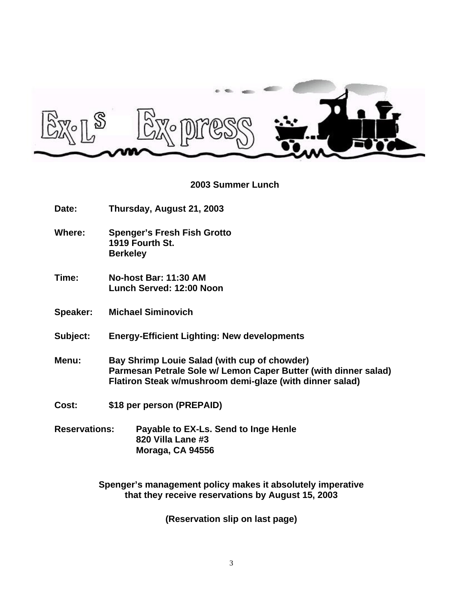

#### **2003 Summer Lunch**

- **Date: Thursday, August 21, 2003**
- **Where: Spenger's Fresh Fish Grotto 1919 Fourth St. Berkeley**
- **Time: No-host Bar: 11:30 AM Lunch Served: 12:00 Noon**
- **Speaker: Michael Siminovich**
- **Subject: Energy-Efficient Lighting: New developments**
- **Menu: Bay Shrimp Louie Salad (with cup of chowder) Parmesan Petrale Sole w/ Lemon Caper Butter (with dinner salad) Flatiron Steak w/mushroom demi-glaze (with dinner salad)**
- **Cost: \$18 per person (PREPAID)**
- **Reservations: Payable to EX-Ls. Send to Inge Henle 820 Villa Lane #3 Moraga, CA 94556**

**Spenger's management policy makes it absolutely imperative that they receive reservations by August 15, 2003**

**(Reservation slip on last page)**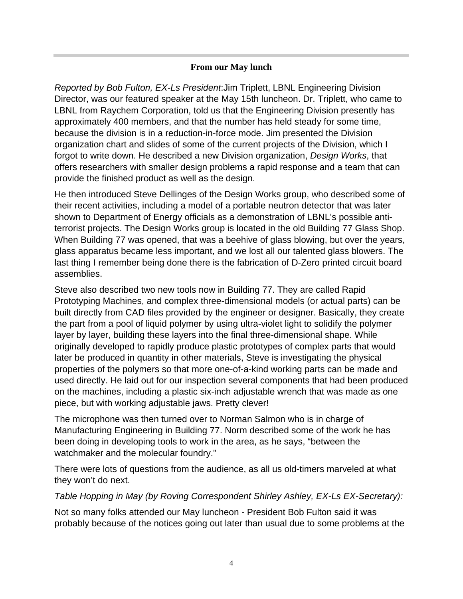## **From our May lunch**

*Reported by Bob Fulton, EX-Ls President*:Jim Triplett, LBNL Engineering Division Director, was our featured speaker at the May 15th luncheon. Dr. Triplett, who came to LBNL from Raychem Corporation, told us that the Engineering Division presently has approximately 400 members, and that the number has held steady for some time, because the division is in a reduction-in-force mode. Jim presented the Division organization chart and slides of some of the current projects of the Division, which I forgot to write down. He described a new Division organization, *Design Works*, that offers researchers with smaller design problems a rapid response and a team that can provide the finished product as well as the design.

He then introduced Steve Dellinges of the Design Works group, who described some of their recent activities, including a model of a portable neutron detector that was later shown to Department of Energy officials as a demonstration of LBNL's possible antiterrorist projects. The Design Works group is located in the old Building 77 Glass Shop. When Building 77 was opened, that was a beehive of glass blowing, but over the years, glass apparatus became less important, and we lost all our talented glass blowers. The last thing I remember being done there is the fabrication of D-Zero printed circuit board assemblies.

Steve also described two new tools now in Building 77. They are called Rapid Prototyping Machines, and complex three-dimensional models (or actual parts) can be built directly from CAD files provided by the engineer or designer. Basically, they create the part from a pool of liquid polymer by using ultra-violet light to solidify the polymer layer by layer, building these layers into the final three-dimensional shape. While originally developed to rapidly produce plastic prototypes of complex parts that would later be produced in quantity in other materials, Steve is investigating the physical properties of the polymers so that more one-of-a-kind working parts can be made and used directly. He laid out for our inspection several components that had been produced on the machines, including a plastic six-inch adjustable wrench that was made as one piece, but with working adjustable jaws. Pretty clever!

The microphone was then turned over to Norman Salmon who is in charge of Manufacturing Engineering in Building 77. Norm described some of the work he has been doing in developing tools to work in the area, as he says, "between the watchmaker and the molecular foundry."

There were lots of questions from the audience, as all us old-timers marveled at what they won't do next.

## *Table Hopping in May (by Roving Correspondent Shirley Ashley, EX-Ls EX-Secretary):*

Not so many folks attended our May luncheon - President Bob Fulton said it was probably because of the notices going out later than usual due to some problems at the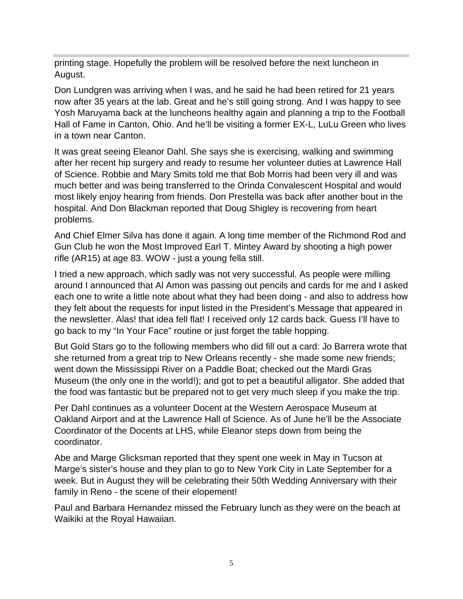printing stage. Hopefully the problem will be resolved before the next luncheon in August.

Don Lundgren was arriving when I was, and he said he had been retired for 21 years now after 35 years at the lab. Great and he's still going strong. And I was happy to see Yosh Maruyama back at the luncheons healthy again and planning a trip to the Football Hall of Fame in Canton, Ohio. And he'll be visiting a former EX-L, LuLu Green who lives in a town near Canton.

It was great seeing Eleanor Dahl. She says she is exercising, walking and swimming after her recent hip surgery and ready to resume her volunteer duties at Lawrence Hall of Science. Robbie and Mary Smits told me that Bob Morris had been very ill and was much better and was being transferred to the Orinda Convalescent Hospital and would most likely enjoy hearing from friends. Don Prestella was back after another bout in the hospital. And Don Blackman reported that Doug Shigley is recovering from heart problems.

And Chief Elmer Silva has done it again. A long time member of the Richmond Rod and Gun Club he won the Most Improved Earl T. Mintey Award by shooting a high power rifle (AR15) at age 83. WOW - just a young fella still.

I tried a new approach, which sadly was not very successful. As people were milling around I announced that Al Amon was passing out pencils and cards for me and I asked each one to write a little note about what they had been doing - and also to address how they felt about the requests for input listed in the President's Message that appeared in the newsletter. Alas! that idea fell flat! I received only 12 cards back. Guess I'll have to go back to my "In Your Face" routine or just forget the table hopping.

But Gold Stars go to the following members who did fill out a card: Jo Barrera wrote that she returned from a great trip to New Orleans recently - she made some new friends; went down the Mississippi River on a Paddle Boat; checked out the Mardi Gras Museum (the only one in the world!); and got to pet a beautiful alligator. She added that the food was fantastic but be prepared not to get very much sleep if you make the trip.

Per Dahl continues as a volunteer Docent at the Western Aerospace Museum at Oakland Airport and at the Lawrence Hall of Science. As of June he'll be the Associate Coordinator of the Docents at LHS, while Eleanor steps down from being the coordinator.

Abe and Marge Glicksman reported that they spent one week in May in Tucson at Marge's sister's house and they plan to go to New York City in Late September for a week. But in August they will be celebrating their 50th Wedding Anniversary with their family in Reno - the scene of their elopement!

Paul and Barbara Hernandez missed the February lunch as they were on the beach at Waikiki at the Royal Hawaiian.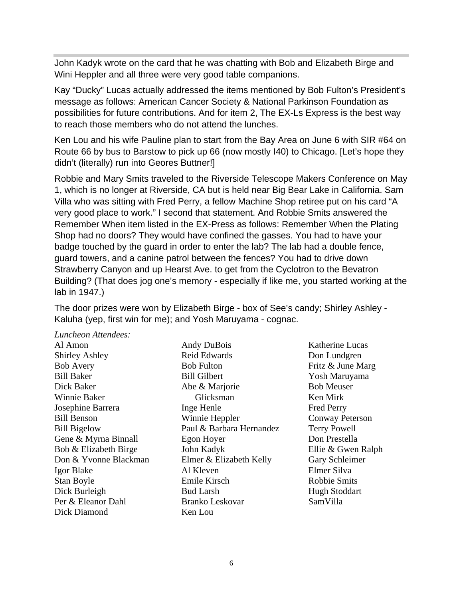John Kadyk wrote on the card that he was chatting with Bob and Elizabeth Birge and Wini Heppler and all three were very good table companions.

Kay "Ducky" Lucas actually addressed the items mentioned by Bob Fulton's President's message as follows: American Cancer Society & National Parkinson Foundation as possibilities for future contributions. And for item 2, The EX-Ls Express is the best way to reach those members who do not attend the lunches.

Ken Lou and his wife Pauline plan to start from the Bay Area on June 6 with SIR #64 on Route 66 by bus to Barstow to pick up 66 (now mostly I40) to Chicago. [Let's hope they didn't (literally) run into Geores Buttner!]

Robbie and Mary Smits traveled to the Riverside Telescope Makers Conference on May 1, which is no longer at Riverside, CA but is held near Big Bear Lake in California. Sam Villa who was sitting with Fred Perry, a fellow Machine Shop retiree put on his card "A very good place to work." I second that statement. And Robbie Smits answered the Remember When item listed in the EX-Press as follows: Remember When the Plating Shop had no doors? They would have confined the gasses. You had to have your badge touched by the guard in order to enter the lab? The lab had a double fence, guard towers, and a canine patrol between the fences? You had to drive down Strawberry Canyon and up Hearst Ave. to get from the Cyclotron to the Bevatron Building? (That does jog one's memory - especially if like me, you started working at the lab in 1947.)

The door prizes were won by Elizabeth Birge - box of See's candy; Shirley Ashley - Kaluha (yep, first win for me); and Yosh Maruyama - cognac.

*Luncheon Attendees:*

Al Amon Shirley Ashley Bob Avery Bill Baker Dick Baker Winnie Baker Josephine Barrera Bill Benson Bill Bigelow Gene & Myrna Binnall Bob & Elizabeth Birge Don & Yvonne Blackman Igor Blake Stan Boyle Dick Burleigh Per & Eleanor Dahl Dick Diamond

- Andy DuBois Reid Edwards Bob Fulton Bill Gilbert Abe & Marjorie Glicksman Inge Henle Winnie Heppler Paul & Barbara Hernandez Egon Hoyer John Kadyk Elmer & Elizabeth Kelly Al Kleven Emile Kirsch Bud Larsh Branko Leskovar Ken Lou
- Katherine Lucas Don Lundgren Fritz & June Marg Yosh Maruyama Bob Meuser Ken Mirk Fred Perry Conway Peterson Terry Powell Don Prestella Ellie & Gwen Ralph Gary Schleimer Elmer Silva Robbie Smits Hugh Stoddart SamVilla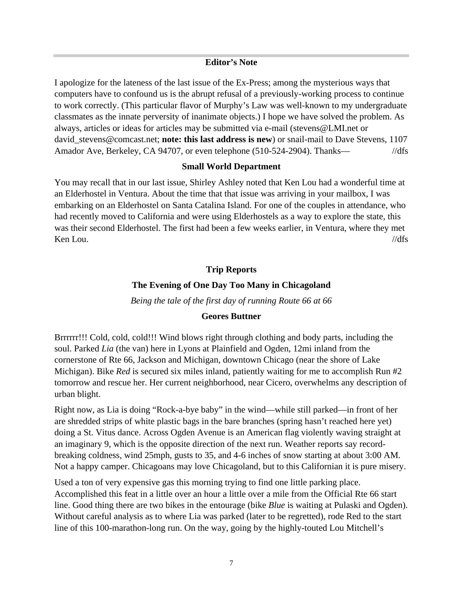#### **Editor's Note**

I apologize for the lateness of the last issue of the Ex-Press; among the mysterious ways that computers have to confound us is the abrupt refusal of a previously-working process to continue to work correctly. (This particular flavor of Murphy's Law was well-known to my undergraduate classmates as the innate perversity of inanimate objects.) I hope we have solved the problem. As always, articles or ideas for articles may be submitted via e-mail (stevens@LMI.net or david stevens@comcast.net; **note: this last address is new**) or snail-mail to Dave Stevens, 1107 Amador Ave, Berkeley, CA 94707, or even telephone (510-524-2904). Thanks— //dfs

#### **Small World Department**

You may recall that in our last issue, Shirley Ashley noted that Ken Lou had a wonderful time at an Elderhostel in Ventura. About the time that that issue was arriving in your mailbox, I was embarking on an Elderhostel on Santa Catalina Island. For one of the couples in attendance, who had recently moved to California and were using Elderhostels as a way to explore the state, this was their second Elderhostel. The first had been a few weeks earlier, in Ventura, where they met  $\frac{1}{d}$  Ken Lou.  $\frac{1}{d}$  //dfs

#### **Trip Reports**

#### **The Evening of One Day Too Many in Chicagoland**

*Being the tale of the first day of running Route 66 at 66*

#### **Geores Buttner**

Brrrrrr!!! Cold, cold, cold!!! Wind blows right through clothing and body parts, including the soul. Parked *Lia* (the van) here in Lyons at Plainfield and Ogden, 12mi inland from the cornerstone of Rte 66, Jackson and Michigan, downtown Chicago (near the shore of Lake Michigan). Bike *Red* is secured six miles inland, patiently waiting for me to accomplish Run #2 tomorrow and rescue her. Her current neighborhood, near Cicero, overwhelms any description of urban blight.

Right now, as Lia is doing "Rock-a-bye baby" in the wind—while still parked—in front of her are shredded strips of white plastic bags in the bare branches (spring hasn't reached here yet) doing a St. Vitus dance. Across Ogden Avenue is an American flag violently waving straight at an imaginary 9, which is the opposite direction of the next run. Weather reports say recordbreaking coldness, wind 25mph, gusts to 35, and 4-6 inches of snow starting at about 3:00 AM. Not a happy camper. Chicagoans may love Chicagoland, but to this Californian it is pure misery.

Used a ton of very expensive gas this morning trying to find one little parking place. Accomplished this feat in a little over an hour a little over a mile from the Official Rte 66 start line. Good thing there are two bikes in the entourage (bike *Blue* is waiting at Pulaski and Ogden). Without careful analysis as to where Lia was parked (later to be regretted), rode Red to the start line of this 100-marathon-long run. On the way, going by the highly-touted Lou Mitchell's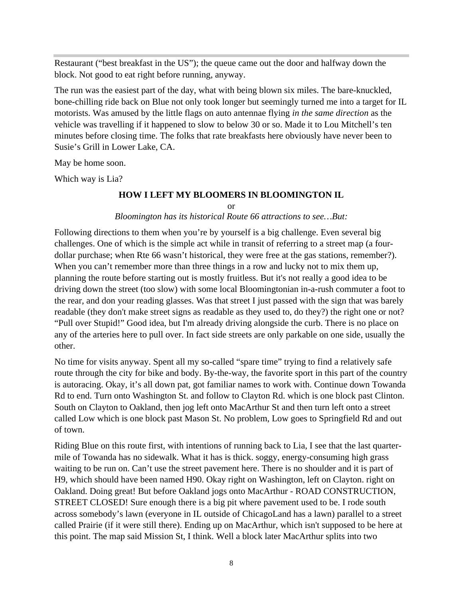Restaurant ("best breakfast in the US"); the queue came out the door and halfway down the block. Not good to eat right before running, anyway.

The run was the easiest part of the day, what with being blown six miles. The bare-knuckled, bone-chilling ride back on Blue not only took longer but seemingly turned me into a target for IL motorists. Was amused by the little flags on auto antennae flying *in the same direction* as the vehicle was travelling if it happened to slow to below 30 or so. Made it to Lou Mitchell's ten minutes before closing time. The folks that rate breakfasts here obviously have never been to Susie's Grill in Lower Lake, CA.

May be home soon.

Which way is Lia?

#### **HOW I LEFT MY BLOOMERS IN BLOOMINGTON IL**

or

#### *Bloomington has its historical Route 66 attractions to see…But:*

Following directions to them when you're by yourself is a big challenge. Even several big challenges. One of which is the simple act while in transit of referring to a street map (a fourdollar purchase; when Rte 66 wasn't historical, they were free at the gas stations, remember?). When you can't remember more than three things in a row and lucky not to mix them up, planning the route before starting out is mostly fruitless. But it's not really a good idea to be driving down the street (too slow) with some local Bloomingtonian in-a-rush commuter a foot to the rear, and don your reading glasses. Was that street I just passed with the sign that was barely readable (they don't make street signs as readable as they used to, do they?) the right one or not? "Pull over Stupid!" Good idea, but I'm already driving alongside the curb. There is no place on any of the arteries here to pull over. In fact side streets are only parkable on one side, usually the other.

No time for visits anyway. Spent all my so-called "spare time" trying to find a relatively safe route through the city for bike and body. By-the-way, the favorite sport in this part of the country is autoracing. Okay, it's all down pat, got familiar names to work with. Continue down Towanda Rd to end. Turn onto Washington St. and follow to Clayton Rd. which is one block past Clinton. South on Clayton to Oakland, then jog left onto MacArthur St and then turn left onto a street called Low which is one block past Mason St. No problem, Low goes to Springfield Rd and out of town.

Riding Blue on this route first, with intentions of running back to Lia, I see that the last quartermile of Towanda has no sidewalk. What it has is thick. soggy, energy-consuming high grass waiting to be run on. Can't use the street pavement here. There is no shoulder and it is part of H9, which should have been named H90. Okay right on Washington, left on Clayton. right on Oakland. Doing great! But before Oakland jogs onto MacArthur - ROAD CONSTRUCTION, STREET CLOSED! Sure enough there is a big pit where pavement used to be. I rode south across somebody's lawn (everyone in IL outside of ChicagoLand has a lawn) parallel to a street called Prairie (if it were still there). Ending up on MacArthur, which isn't supposed to be here at this point. The map said Mission St, I think. Well a block later MacArthur splits into two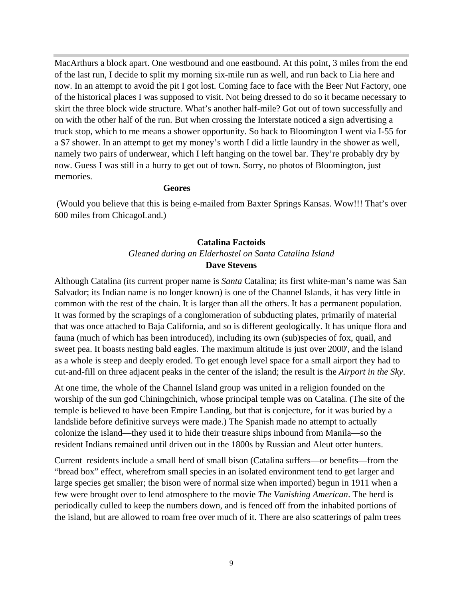MacArthurs a block apart. One westbound and one eastbound. At this point, 3 miles from the end of the last run, I decide to split my morning six-mile run as well, and run back to Lia here and now. In an attempt to avoid the pit I got lost. Coming face to face with the Beer Nut Factory, one of the historical places I was supposed to visit. Not being dressed to do so it became necessary to skirt the three block wide structure. What's another half-mile? Got out of town successfully and on with the other half of the run. But when crossing the Interstate noticed a sign advertising a truck stop, which to me means a shower opportunity. So back to Bloomington I went via I-55 for a \$7 shower. In an attempt to get my money's worth I did a little laundry in the shower as well, namely two pairs of underwear, which I left hanging on the towel bar. They're probably dry by now. Guess I was still in a hurry to get out of town. Sorry, no photos of Bloomington, just memories.

#### **Geores**

 (Would you believe that this is being e-mailed from Baxter Springs Kansas. Wow!!! That's over 600 miles from ChicagoLand.)

### **Catalina Factoids** *Gleaned during an Elderhostel on Santa Catalina Island* **Dave Stevens**

Although Catalina (its current proper name is *Santa* Catalina; its first white-man's name was San Salvador; its Indian name is no longer known) is one of the Channel Islands, it has very little in common with the rest of the chain. It is larger than all the others. It has a permanent population. It was formed by the scrapings of a conglomeration of subducting plates, primarily of material that was once attached to Baja California, and so is different geologically. It has unique flora and fauna (much of which has been introduced), including its own (sub)species of fox, quail, and sweet pea. It boasts nesting bald eagles. The maximum altitude is just over 2000', and the island as a whole is steep and deeply eroded. To get enough level space for a small airport they had to cut-and-fill on three adjacent peaks in the center of the island; the result is the *Airport in the Sky*.

At one time, the whole of the Channel Island group was united in a religion founded on the worship of the sun god Chiningchinich, whose principal temple was on Catalina. (The site of the temple is believed to have been Empire Landing, but that is conjecture, for it was buried by a landslide before definitive surveys were made.) The Spanish made no attempt to actually colonize the island—they used it to hide their treasure ships inbound from Manila—so the resident Indians remained until driven out in the 1800s by Russian and Aleut otter hunters.

Current residents include a small herd of small bison (Catalina suffers—or benefits—from the "bread box" effect, wherefrom small species in an isolated environment tend to get larger and large species get smaller; the bison were of normal size when imported) begun in 1911 when a few were brought over to lend atmosphere to the movie *The Vanishing American*. The herd is periodically culled to keep the numbers down, and is fenced off from the inhabited portions of the island, but are allowed to roam free over much of it. There are also scatterings of palm trees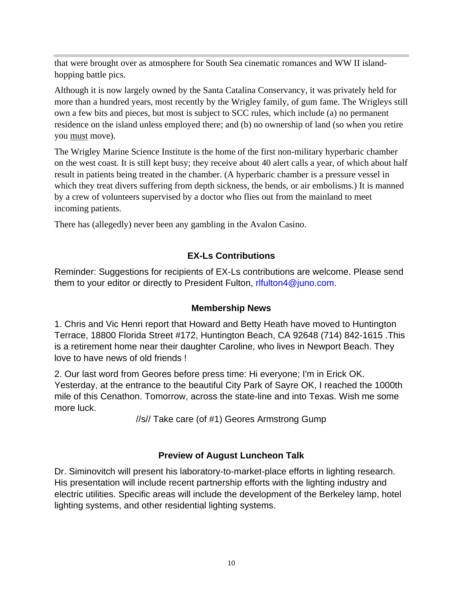that were brought over as atmosphere for South Sea cinematic romances and WW II islandhopping battle pics.

Although it is now largely owned by the Santa Catalina Conservancy, it was privately held for more than a hundred years, most recently by the Wrigley family, of gum fame. The Wrigleys still own a few bits and pieces, but most is subject to SCC rules, which include (a) no permanent residence on the island unless employed there; and (b) no ownership of land (so when you retire you must move).

The Wrigley Marine Science Institute is the home of the first non-military hyperbaric chamber on the west coast. It is still kept busy; they receive about 40 alert calls a year, of which about half result in patients being treated in the chamber. (A hyperbaric chamber is a pressure vessel in which they treat divers suffering from depth sickness, the bends, or air embolisms.) It is manned by a crew of volunteers supervised by a doctor who flies out from the mainland to meet incoming patients.

There has (allegedly) never been any gambling in the Avalon Casino.

# **EX-Ls Contributions**

Reminder: Suggestions for recipients of EX-Ls contributions are welcome. Please send them to your editor or directly to President Fulton, rifulton4@juno.com.

# **Membership News**

1. Chris and Vic Henri report that Howard and Betty Heath have moved to Huntington Terrace, 18800 Florida Street #172, Huntington Beach, CA 92648 (714) 842-1615 .This is a retirement home near their daughter Caroline, who lives in Newport Beach. They love to have news of old friends !

2. Our last word from Geores before press time: Hi everyone; I'm in Erick OK. Yesterday, at the entrance to the beautiful City Park of Sayre OK, I reached the 1000th mile of this Cenathon. Tomorrow, across the state-line and into Texas. Wish me some more luck.

//s// Take care (of #1) Geores Armstrong Gump

# **Preview of August Luncheon Talk**

Dr. Siminovitch will present his laboratory-to-market-place efforts in lighting research. His presentation will include recent partnership efforts with the lighting industry and electric utilities. Specific areas will include the development of the Berkeley lamp, hotel lighting systems, and other residential lighting systems.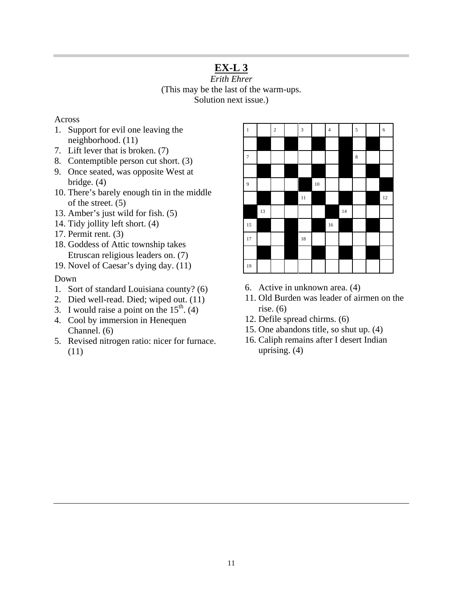# **EX-L 3**

*Erith Ehrer* (This may be the last of the warm-ups. Solution next issue.)

#### Across

- 1. Support for evil one leaving the neighborhood. (11)
- 7. Lift lever that is broken. (7)
- 8. Contemptible person cut short. (3)
- 9. Once seated, was opposite West at bridge. (4)
- 10. There's barely enough tin in the middle of the street. (5)
- 13. Amber's just wild for fish. (5)
- 14. Tidy jollity left short. (4)
- 17. Permit rent. (3)
- 18. Goddess of Attic township takes Etruscan religious leaders on. (7)
- 19. Novel of Caesar's dying day. (11)

#### Down

- 1. Sort of standard Louisiana county? (6)
- 2. Died well-read. Died; wiped out. (11)
- 3. I would raise a point on the  $15<sup>th</sup>$ . (4)
- 4. Cool by immersion in Henequen Channel. (6)
- 5. Revised nitrogen ratio: nicer for furnace. (11)

| $\,$ 1 $\,$      |        | $\sqrt{2}$ | $\overline{\mathbf{3}}$ |    | $\overline{\mathbf{4}}$ |    | $\overline{\mathbf{5}}$ | $\overline{6}$ |
|------------------|--------|------------|-------------------------|----|-------------------------|----|-------------------------|----------------|
|                  |        |            |                         |    |                         |    |                         |                |
| $\boldsymbol{7}$ |        |            |                         |    |                         |    | $\,$ 8 $\,$             |                |
|                  |        |            |                         |    |                         |    |                         |                |
| $\overline{9}$   |        |            |                         | 10 |                         |    |                         |                |
|                  |        |            | $\overline{11}$         |    |                         |    |                         | 12             |
|                  | $13\,$ |            |                         |    |                         | 14 |                         |                |
| 15               |        |            |                         |    | $16\,$                  |    |                         |                |
| 17               |        |            | $18\,$                  |    |                         |    |                         |                |
|                  |        |            |                         |    |                         |    |                         |                |
| 19               |        |            |                         |    |                         |    |                         |                |

- 6. Active in unknown area. (4)
- 11. Old Burden was leader of airmen on the rise. (6)
- 12. Defile spread chirms. (6)
- 15. One abandons title, so shut up. (4)
- 16. Caliph remains after I desert Indian uprising. (4)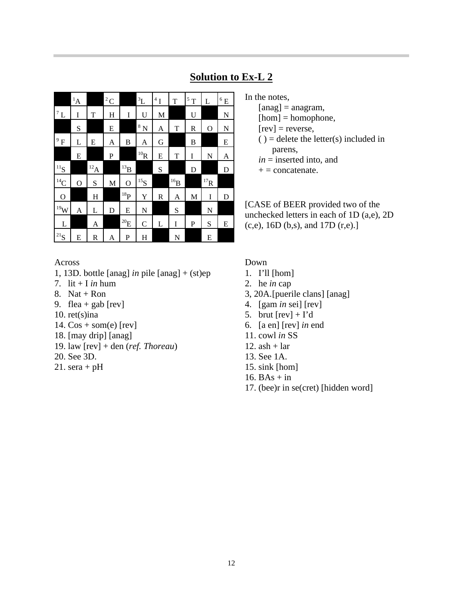|                  | $^{1}A$ |           | ${}^{2}C$ |                   | $\rm ^3L$               | $^4\,\mathrm{I}$ | T        | $^5\,\mathrm{T}$ | L        | $^6\rm\,E$ |
|------------------|---------|-----------|-----------|-------------------|-------------------------|------------------|----------|------------------|----------|------------|
| $^7\,\mathrm{L}$ | I       | T         | H         | I                 | U                       | M                |          | U                |          | N          |
|                  | S       |           | E         |                   | $^8\,\mathrm{N}$        | A                | T        | R                | O        | N          |
| $\mathbf{F}^9$   | L       | E         | A         | B                 | A                       | G                |          | B                |          | E          |
|                  | E       |           | P         |                   | $^{10}\!{\rm R}$        | E                | T        | I                | N        | A          |
| $^{11}S$         |         | $^{12}$ A |           | $^{13}B$          |                         | S                |          | D                |          | D          |
| $\rm ^{14}C$     | O       | S         | M         | $\mathbf O$       | $^{15}\mathrm{S}$       |                  | $^{16}B$ |                  | $^{17}R$ |            |
| $\overline{O}$   |         | H         |           | $^{18}\mathrm{P}$ | Y                       | R                | A        | M                | I        | D          |
| $^{19}{\rm W}$   | A       | L         | D         | E                 | N                       |                  | S        |                  | N        |            |
| L                |         | A         |           | $^{20}\!E$        | $\mathsf{C}$            | L                | I        | P                | S        | E          |
| $^{21}{\rm S}$   | E       | R         | A         | P                 | $\overline{\mathrm{H}}$ |                  | N        |                  | E        |            |

# **Solution to Ex-L 2**

In the notes,

- $[ang] = angram,$
- $[hom] = homophone,$
- $[rev]$  = reverse,
- $()$  = delete the letter $(s)$  included in parens,
- *in* = inserted into, and
- $+ =$  concatenate.

[CASE of BEER provided two of the unchecked letters in each of 1D (a,e), 2D (c,e), 16D (b,s), and 17D (r,e).]

## Across

- 1, 13D. bottle [anag] *in* pile [anag] + (st)ep
- 7. lit  $+$  I *in* hum
- 8. Nat + Ron
- 9. flea + gab  $[rev]$
- 10. ret(s)ina
- 14. Cos + som(e) [rev]
- 18. [may drip] [anag]
- 19. law [rev] + den (*ref. Thoreau*)
- 20. See 3D.
- 21. sera +  $pH$

## Down

- 1. I'll [hom]
- 2. he *in* cap
- 3, 20A.[puerile clans] [anag]
- 4. [gam *in* sei] [rev]
- 5. brut  $[rev] + I'd$
- 6. [a en] [rev] *in* end
- 11. cowl *in* SS
- 12. ash  $+$  lar
- 13. See 1A.
- 15. sink [hom]
- 16.  $BAs + in$
- 17. (bee)r in se(cret) [hidden word]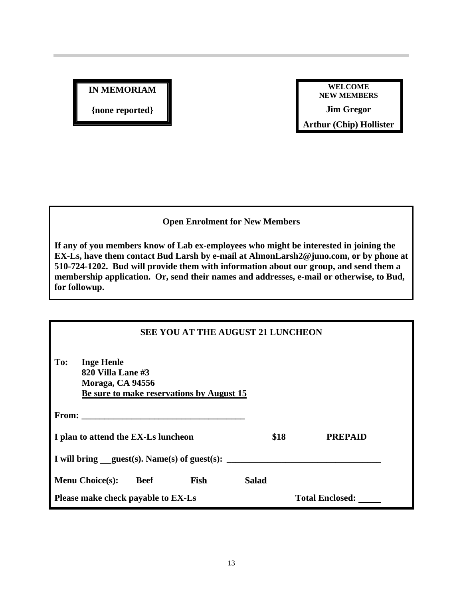**IN MEMORIAM**

**{none reported}**

**WELCOME NEW MEMBERS Jim Gregor Arthur (Chip) Hollister**

# **Open Enrolment for New Members**

**If any of you members know of Lab ex-employees who might be interested in joining the EX-Ls, have them contact Bud Larsh by e-mail at AlmonLarsh2@juno.com, or by phone at 510-724-1202. Bud will provide them with information about our group, and send them a membership application. Or, send their names and addresses, e-mail or otherwise, to Bud, for followup.**

| <b>SEE YOU AT THE AUGUST 21 LUNCHEON</b>                          |             |                                           |              |                                                           |  |  |  |  |
|-------------------------------------------------------------------|-------------|-------------------------------------------|--------------|-----------------------------------------------------------|--|--|--|--|
| To:<br><b>Inge Henle</b><br>820 Villa Lane #3<br>Moraga, CA 94556 |             | Be sure to make reservations by August 15 |              |                                                           |  |  |  |  |
|                                                                   |             |                                           |              |                                                           |  |  |  |  |
| I plan to attend the EX-Ls luncheon                               |             |                                           | \$18         | <b>PREPAID</b>                                            |  |  |  |  |
|                                                                   |             |                                           |              | I will bring guest(s). Name(s) of guest(s): $\frac{1}{1}$ |  |  |  |  |
| <b>Menu Choice(s):</b>                                            | <b>Beef</b> | Fish                                      | <b>Salad</b> |                                                           |  |  |  |  |
| Please make check payable to EX-Ls                                |             |                                           |              | <b>Total Enclosed:</b>                                    |  |  |  |  |